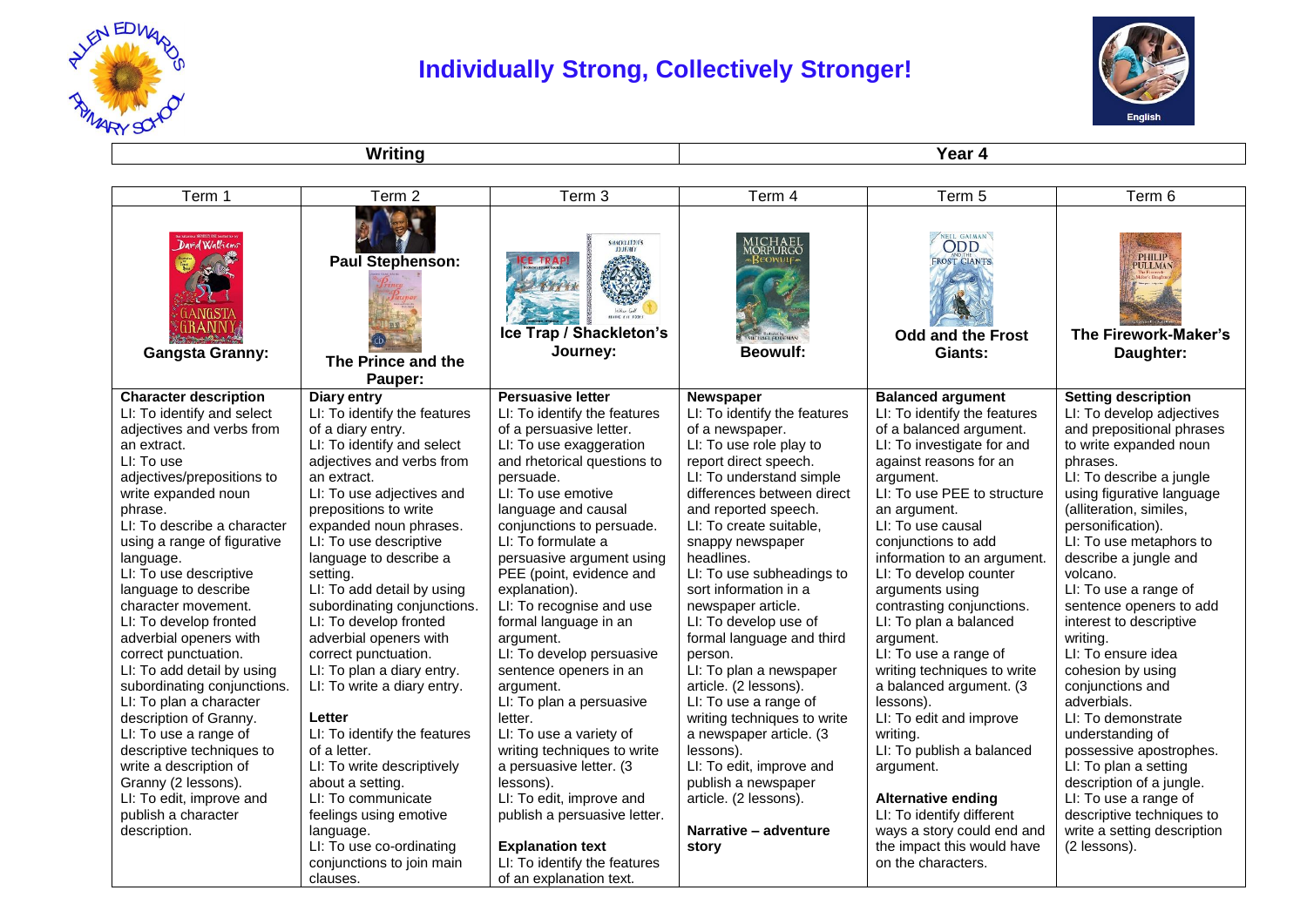

## **Individually Strong, Collectively Stronger!**



**Writing Year 4** 

| Term 1                                                                                                                                                              | Term <sub>2</sub>                                        | Term 3                                                     | Term 4                                                 | Term 5                                                                   | Term 6                                                               |
|---------------------------------------------------------------------------------------------------------------------------------------------------------------------|----------------------------------------------------------|------------------------------------------------------------|--------------------------------------------------------|--------------------------------------------------------------------------|----------------------------------------------------------------------|
| David Walliams<br><b>Company of the Company of the Company of the Company of the Company of the Company of the Company of the Company</b><br><b>Gangsta Granny:</b> | <b>Paul Stephenson:</b><br>The Prince and the<br>Pauper: | <b>SHACKLETON'S</b><br>Ice Trap / Shackleton's<br>Journey: | .ICHAEL<br>ORPURGC<br>» KEOWUL<br><b>Beowulf:</b>      | NEL GAIMAN<br><b>FROST GIANTS</b><br><b>Odd and the Frost</b><br>Giants: | <b>PHILIP</b><br><b>PULLMAN</b><br>The Firework-Maker's<br>Daughter: |
| <b>Character description</b>                                                                                                                                        | <b>Diary entry</b>                                       | <b>Persuasive letter</b>                                   | Newspaper                                              | <b>Balanced argument</b>                                                 | <b>Setting description</b>                                           |
| LI: To identify and select                                                                                                                                          | LI: To identify the features                             | LI: To identify the features                               | LI: To identify the features                           | LI: To identify the features                                             | LI: To develop adjectives                                            |
| adjectives and verbs from                                                                                                                                           | of a diary entry.                                        | of a persuasive letter.                                    | of a newspaper.                                        | of a balanced argument.                                                  | and prepositional phrases                                            |
| an extract.                                                                                                                                                         | LI: To identify and select                               | LI: To use exaggeration                                    | LI: To use role play to                                | LI: To investigate for and                                               | to write expanded noun                                               |
| LI: To use                                                                                                                                                          | adjectives and verbs from                                | and rhetorical questions to                                | report direct speech.                                  | against reasons for an                                                   | phrases.<br>LI: To describe a jungle                                 |
| adjectives/prepositions to<br>write expanded noun                                                                                                                   | an extract.<br>LI: To use adjectives and                 | persuade.<br>LI: To use emotive                            | LI: To understand simple<br>differences between direct | argument.<br>LI: To use PEE to structure                                 | using figurative language                                            |
| phrase.                                                                                                                                                             | prepositions to write                                    | language and causal                                        | and reported speech.                                   | an argument.                                                             | (alliteration, similes,                                              |
| LI: To describe a character                                                                                                                                         | expanded noun phrases.                                   | conjunctions to persuade.                                  | LI: To create suitable,                                | LI: To use causal                                                        | personification).                                                    |
| using a range of figurative                                                                                                                                         | LI: To use descriptive                                   | LI: To formulate a                                         | snappy newspaper                                       | conjunctions to add                                                      | LI: To use metaphors to                                              |
| language.                                                                                                                                                           | language to describe a                                   | persuasive argument using                                  | headlines.                                             | information to an argument.                                              | describe a jungle and                                                |
| LI: To use descriptive                                                                                                                                              | setting.                                                 | PEE (point, evidence and                                   | LI: To use subheadings to                              | LI: To develop counter                                                   | volcano.                                                             |
| language to describe                                                                                                                                                | LI: To add detail by using                               | explanation).                                              | sort information in a                                  | arguments using                                                          | LI: To use a range of                                                |
| character movement.                                                                                                                                                 | subordinating conjunctions.                              | LI: To recognise and use                                   | newspaper article.                                     | contrasting conjunctions.                                                | sentence openers to add                                              |
| LI: To develop fronted                                                                                                                                              | LI: To develop fronted                                   | formal language in an                                      | LI: To develop use of                                  | LI: To plan a balanced                                                   | interest to descriptive                                              |
| adverbial openers with                                                                                                                                              | adverbial openers with                                   | argument.                                                  | formal language and third                              | argument.                                                                | writing.                                                             |
| correct punctuation.                                                                                                                                                | correct punctuation.                                     | LI: To develop persuasive                                  | person.                                                | LI: To use a range of                                                    | LI: To ensure idea                                                   |
| LI: To add detail by using                                                                                                                                          | LI: To plan a diary entry.                               | sentence openers in an                                     | LI: To plan a newspaper                                | writing techniques to write                                              | cohesion by using                                                    |
| subordinating conjunctions.                                                                                                                                         | LI: To write a diary entry.                              | argument.                                                  | article. (2 lessons).                                  | a balanced argument. (3                                                  | conjunctions and                                                     |
| LI: To plan a character                                                                                                                                             |                                                          | LI: To plan a persuasive                                   | LI: To use a range of                                  | lessons).                                                                | adverbials.                                                          |
| description of Granny.                                                                                                                                              | Letter                                                   | letter.                                                    | writing techniques to write                            | LI: To edit and improve                                                  | LI: To demonstrate                                                   |
| LI: To use a range of                                                                                                                                               | LI: To identify the features                             | LI: To use a variety of                                    | a newspaper article. (3                                | writing.                                                                 | understanding of                                                     |
| descriptive techniques to                                                                                                                                           | of a letter.                                             | writing techniques to write                                | lessons).                                              | LI: To publish a balanced                                                | possessive apostrophes.                                              |
| write a description of                                                                                                                                              | LI: To write descriptively                               | a persuasive letter. (3                                    | LI: To edit, improve and                               | argument.                                                                | LI: To plan a setting                                                |
| Granny (2 lessons).                                                                                                                                                 | about a setting.                                         | lessons).                                                  | publish a newspaper                                    |                                                                          | description of a jungle.                                             |
| LI: To edit, improve and                                                                                                                                            | LI: To communicate                                       | LI: To edit, improve and                                   | article. (2 lessons).                                  | <b>Alternative ending</b>                                                | LI: To use a range of                                                |
| publish a character                                                                                                                                                 | feelings using emotive                                   | publish a persuasive letter.                               |                                                        | LI: To identify different                                                | descriptive techniques to                                            |
| description.                                                                                                                                                        | language.                                                |                                                            | Narrative - adventure                                  | ways a story could end and                                               | write a setting description                                          |
|                                                                                                                                                                     | LI: To use co-ordinating                                 | <b>Explanation text</b>                                    | story                                                  | the impact this would have                                               | (2 lessons).                                                         |
|                                                                                                                                                                     | conjunctions to join main                                | LI: To identify the features                               |                                                        | on the characters.                                                       |                                                                      |
|                                                                                                                                                                     | clauses.                                                 | of an explanation text.                                    |                                                        |                                                                          |                                                                      |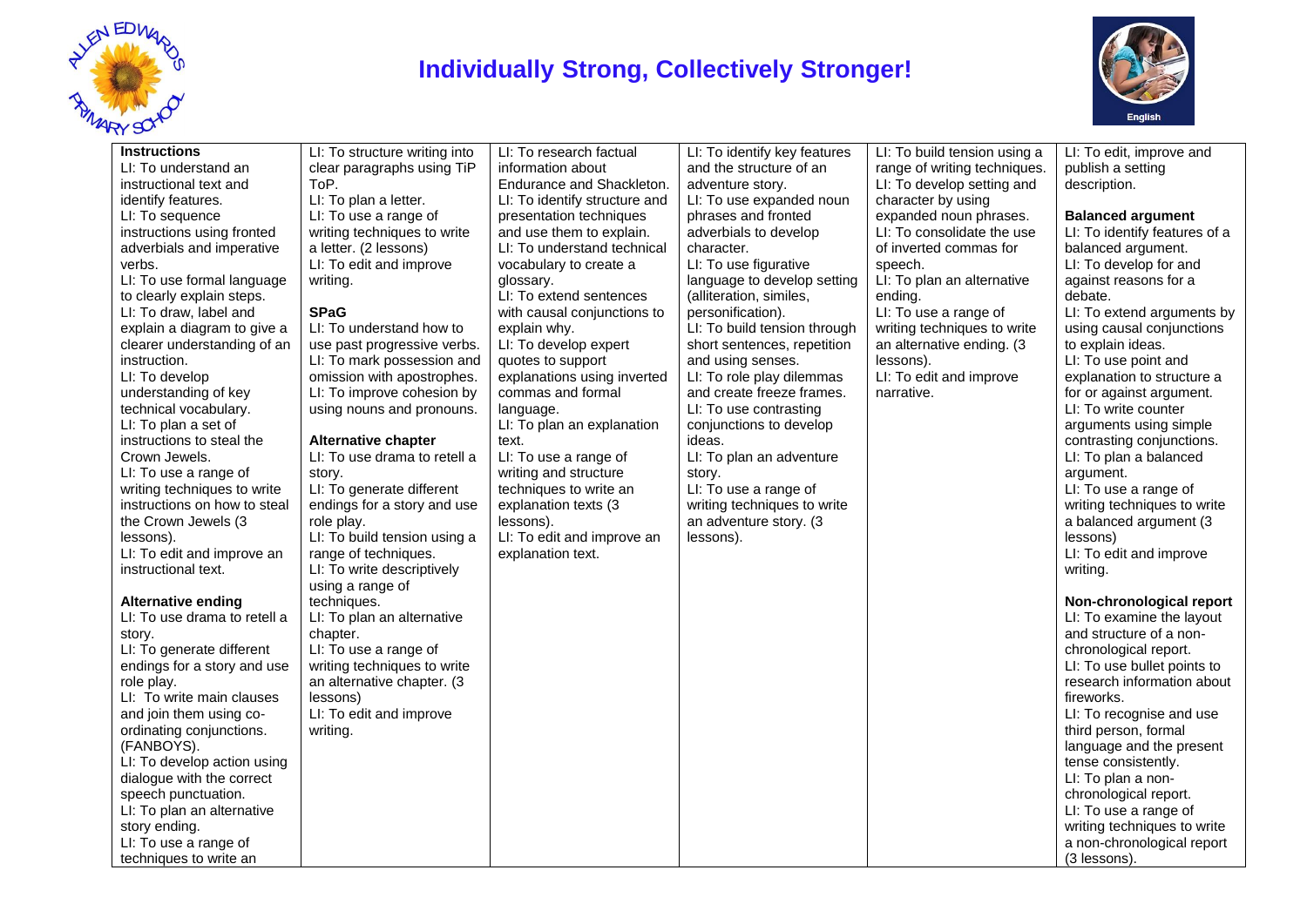

## **Individually Strong, Collectively Stronger!**



| <b>Instructions</b><br>LI: To understand an<br>instructional text and<br>identify features.<br>LI: To sequence<br>instructions using fronted<br>adverbials and imperative<br>verbs.<br>LI: To use formal language<br>to clearly explain steps.<br>LI: To draw, label and<br>explain a diagram to give a<br>clearer understanding of an<br>instruction.<br>LI: To develop<br>understanding of key | LI: To structure writing into<br>clear paragraphs using TiP<br>ToP.<br>LI: To plan a letter.<br>LI: To use a range of<br>writing techniques to write<br>a letter. (2 lessons)<br>LI: To edit and improve<br>writing.<br><b>SPaG</b><br>LI: To understand how to<br>use past progressive verbs.<br>LI: To mark possession and<br>omission with apostrophes.<br>LI: To improve cohesion by | LI: To research factual<br>information about<br>Endurance and Shackleton.<br>LI: To identify structure and<br>presentation techniques<br>and use them to explain.<br>LI: To understand technical<br>vocabulary to create a<br>glossary.<br>LI: To extend sentences<br>with causal conjunctions to<br>explain why.<br>LI: To develop expert<br>quotes to support<br>explanations using inverted<br>commas and formal | LI: To identify key features<br>and the structure of an<br>adventure story.<br>LI: To use expanded noun<br>phrases and fronted<br>adverbials to develop<br>character.<br>LI: To use figurative<br>language to develop setting<br>(alliteration, similes,<br>personification).<br>LI: To build tension through<br>short sentences, repetition<br>and using senses.<br>LI: To role play dilemmas<br>and create freeze frames. | LI: To build tension using a<br>range of writing techniques.<br>LI: To develop setting and<br>character by using<br>expanded noun phrases.<br>LI: To consolidate the use<br>of inverted commas for<br>speech.<br>LI: To plan an alternative<br>ending.<br>LI: To use a range of<br>writing techniques to write<br>an alternative ending. (3<br>lessons).<br>LI: To edit and improve<br>narrative. | LI: To edit, improve and<br>publish a setting<br>description.<br><b>Balanced argument</b><br>LI: To identify features of a<br>balanced argument.<br>LI: To develop for and<br>against reasons for a<br>debate.<br>LI: To extend arguments by<br>using causal conjunctions<br>to explain ideas.<br>LI: To use point and<br>explanation to structure a<br>for or against argument. |
|--------------------------------------------------------------------------------------------------------------------------------------------------------------------------------------------------------------------------------------------------------------------------------------------------------------------------------------------------------------------------------------------------|------------------------------------------------------------------------------------------------------------------------------------------------------------------------------------------------------------------------------------------------------------------------------------------------------------------------------------------------------------------------------------------|---------------------------------------------------------------------------------------------------------------------------------------------------------------------------------------------------------------------------------------------------------------------------------------------------------------------------------------------------------------------------------------------------------------------|-----------------------------------------------------------------------------------------------------------------------------------------------------------------------------------------------------------------------------------------------------------------------------------------------------------------------------------------------------------------------------------------------------------------------------|---------------------------------------------------------------------------------------------------------------------------------------------------------------------------------------------------------------------------------------------------------------------------------------------------------------------------------------------------------------------------------------------------|----------------------------------------------------------------------------------------------------------------------------------------------------------------------------------------------------------------------------------------------------------------------------------------------------------------------------------------------------------------------------------|
| technical vocabulary.<br>LI: To plan a set of<br>instructions to steal the<br>Crown Jewels.<br>LI: To use a range of<br>writing techniques to write<br>instructions on how to steal<br>the Crown Jewels (3<br>lessons).<br>LI: To edit and improve an<br>instructional text.<br><b>Alternative ending</b><br>LI: To use drama to retell a<br>story.<br>LI: To generate different                 | using nouns and pronouns.<br><b>Alternative chapter</b><br>LI: To use drama to retell a<br>story.<br>LI: To generate different<br>endings for a story and use<br>role play.<br>LI: To build tension using a<br>range of techniques.<br>LI: To write descriptively<br>using a range of<br>techniques.<br>LI: To plan an alternative<br>chapter.<br>LI: To use a range of                  | language.<br>LI: To plan an explanation<br>text.<br>LI: To use a range of<br>writing and structure<br>techniques to write an<br>explanation texts (3<br>lessons).<br>LI: To edit and improve an<br>explanation text.                                                                                                                                                                                                | LI: To use contrasting<br>conjunctions to develop<br>ideas.<br>LI: To plan an adventure<br>story.<br>LI: To use a range of<br>writing techniques to write<br>an adventure story. (3<br>lessons).                                                                                                                                                                                                                            |                                                                                                                                                                                                                                                                                                                                                                                                   | LI: To write counter<br>arguments using simple<br>contrasting conjunctions.<br>LI: To plan a balanced<br>argument.<br>LI: To use a range of<br>writing techniques to write<br>a balanced argument (3<br>lessons)<br>LI: To edit and improve<br>writing.<br>Non-chronological report<br>LI: To examine the layout<br>and structure of a non-<br>chronological report.             |
| endings for a story and use<br>role play.<br>LI: To write main clauses<br>and join them using co-<br>ordinating conjunctions.<br>(FANBOYS).<br>LI: To develop action using<br>dialogue with the correct<br>speech punctuation.<br>LI: To plan an alternative<br>story ending.<br>LI: To use a range of<br>techniques to write an                                                                 | writing techniques to write<br>an alternative chapter. (3<br>lessons)<br>LI: To edit and improve<br>writing.                                                                                                                                                                                                                                                                             |                                                                                                                                                                                                                                                                                                                                                                                                                     |                                                                                                                                                                                                                                                                                                                                                                                                                             |                                                                                                                                                                                                                                                                                                                                                                                                   | LI: To use bullet points to<br>research information about<br>fireworks.<br>LI: To recognise and use<br>third person, formal<br>language and the present<br>tense consistently.<br>LI: To plan a non-<br>chronological report.<br>LI: To use a range of<br>writing techniques to write<br>a non-chronological report<br>(3 lessons).                                              |